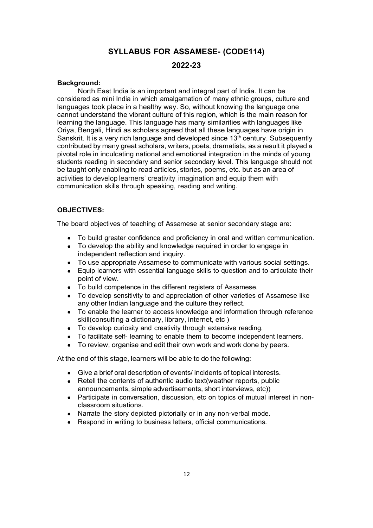# SYLLABUS FOR ASSAMESE- (CODE114)

### 2022-23

#### Background:

North East India is an important and integral part of India. It can be considered as mini India in which amalgamation of many ethnic groups, culture and languages took place in a healthy way. So, without knowing the language one cannot understand the vibrant culture of this region, which is the main reason for learning the language. This language has many similarities with languages like Oriya, Bengali, Hindi as scholars agreed that all these languages have origin in Sanskrit. It is a very rich language and developed since  $13<sup>th</sup>$  century. Subsequently contributed by many great scholars, writers, poets, dramatists, as a result it played a pivotal role in inculcating national and emotional integration in the minds of young students reading in secondary and senior secondary level. This language should not be taught only enabling to read articles, stories, poems, etc. but as an area of activities to develop learners' creativity, imagination and equip them with communication skills through speaking, reading and writing.

### OBJECTIVES:

The board objectives of teaching of Assamese at senior secondary stage are:

- To build greater confidence and proficiency in oral and written communication.
- $\bullet$ To develop the ability and knowledge required in order to engage in independent reflection and inquiry.
- To use appropriate Assamese to communicate with various social settings.
- $\bullet$ Equip learners with essential language skills to question and to articulate their point of view.
- To build competence in the different registers of Assamese.
- To develop sensitivity to and appreciation of other varieties of Assamese like any other Indian language and the culture they reflect.
- $\bullet$ To enable the learner to access knowledge and information through reference skill(consulting a dictionary, library, internet, etc )
- To develop curiosity and creativity through extensive reading.
- To facilitate self- learning to enable them to become independent learners.
- To review, organise and edit their own work and work done by peers.

At the end of this stage, learners will be able to do the following:

- Give a brief oral description of events/ incidents of topical interests.
- Retell the contents of authentic audio text(weather reports, public announcements, simple advertisements, short interviews, etc))
- Participate in conversation, discussion, etc on topics of mutual interest in nonclassroom situations.
- Narrate the story depicted pictorially or in any non-verbal mode.
- Respond in writing to business letters, official communications.  $\bullet$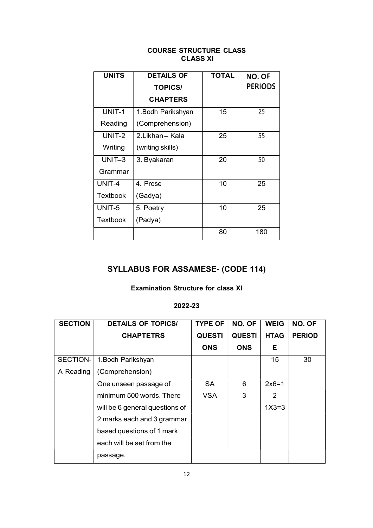### COURSE STRUCTURE CLASS CLASS XI

| <b>UNITS</b>    | <b>DETAILS OF</b>  | <b>TOTAL</b> | NO. OF         |
|-----------------|--------------------|--------------|----------------|
|                 | <b>TOPICS/</b>     |              | <b>PERIODS</b> |
|                 | <b>CHAPTERS</b>    |              |                |
| UNIT-1          | 1. Bodh Parikshyan | 15           | 25             |
| Reading         | (Comprehension)    |              |                |
| UNIT-2          | 2.Likhan - Kala    | 25           | 55             |
| Writing         | (writing skills)   |              |                |
| $UNIT-3$        | 3. Byakaran        | 20           | 50             |
| Grammar         |                    |              |                |
| UNIT-4          | 4. Prose           | 10           | 25             |
| <b>Textbook</b> | (Gadya)            |              |                |
| UNIT-5          | 5. Poetry          | 10           | 25             |
| <b>Textbook</b> | (Padya)            |              |                |
|                 |                    | 80           | 180            |

## SYLLABUS FOR ASSAMESE- (CODE 114)

### Examination Structure for class XI

### 2022-23

| <b>SECTION</b> | <b>DETAILS OF TOPICS/</b>      | <b>TYPE OF</b> | NO. OF        | <b>WEIG</b>     | NO. OF        |
|----------------|--------------------------------|----------------|---------------|-----------------|---------------|
|                | <b>CHAPTETRS</b>               | <b>QUESTI</b>  | <b>QUESTI</b> | <b>HTAG</b>     | <b>PERIOD</b> |
|                |                                | <b>ONS</b>     | <b>ONS</b>    | Е               |               |
| SECTION-       | 1. Bodh Parikshyan             |                |               | 15 <sub>1</sub> | 30            |
| A Reading      | (Comprehension)                |                |               |                 |               |
|                | One unseen passage of          | <b>SA</b>      | 6             | $2x6=1$         |               |
|                | minimum 500 words. There       | <b>VSA</b>     | 3             | 2               |               |
|                | will be 6 general questions of |                |               | $1X3=3$         |               |
|                | 2 marks each and 3 grammar     |                |               |                 |               |
|                | based questions of 1 mark      |                |               |                 |               |
|                | each will be set from the      |                |               |                 |               |
|                | passage.                       |                |               |                 |               |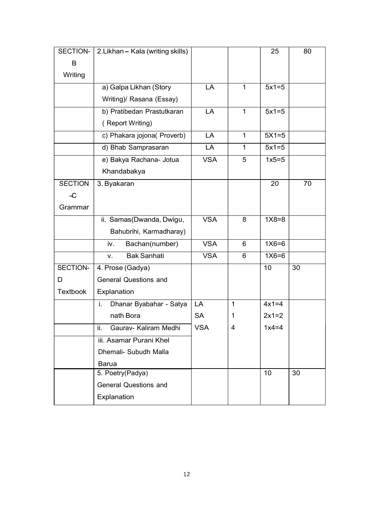| SECTION-        | 2. Likhan - Kala (writing skills) |            |             | 25      | 80 |
|-----------------|-----------------------------------|------------|-------------|---------|----|
| B               |                                   |            |             |         |    |
| Writing         |                                   |            |             |         |    |
|                 | a) Galpa Likhan (Story            | LA         | 1           | $5x1=5$ |    |
|                 | Writing)/ Rasana (Essay)          |            |             |         |    |
|                 | b) Pratibedan Prastutkaran        | LA         | 1           | $5x1=5$ |    |
|                 | (Report Writing)                  |            |             |         |    |
|                 | c) Phakara jojona( Proverb)       | LA         | 1           | $5X1=5$ |    |
|                 | d) Bhab Samprasaran               | LA         | $\mathbf 1$ | $5x1=5$ |    |
|                 | e) Bakya Rachana- Jotua           | <b>VSA</b> | 5           | $1x5=5$ |    |
|                 | Khandabakya                       |            |             |         |    |
| <b>SECTION</b>  | 3. Byakaran                       |            |             | 20      | 70 |
| $\mathcal{L}$   |                                   |            |             |         |    |
| Grammar         |                                   |            |             |         |    |
|                 | ii. Samas (Dwanda, Dwigu,         | <b>VSA</b> | 8           | $1X8=8$ |    |
|                 | Bahubrihi, Karmadharay)           |            |             |         |    |
|                 | Bachan(number)<br>iv.             | <b>VSA</b> | 6           | $1X6=6$ |    |
|                 | <b>Bak Sanhati</b><br>V.          | <b>VSA</b> | 6           | $1X6=6$ |    |
| SECTION-        | 4. Prose (Gadya)                  |            |             | 10      | 30 |
| D               | <b>General Questions and</b>      |            |             |         |    |
| <b>Textbook</b> | Explanation                       |            |             |         |    |
|                 | Dhanar Byabahar - Satya<br>i.     | LA         | 1           | $4x1=4$ |    |
|                 | nath Bora                         | <b>SA</b>  | 1           | $2x1=2$ |    |
|                 | ii.<br>Gaurav- Kaliram Medhi      | <b>VSA</b> | 4           | $1x4=4$ |    |
|                 | iii. Asamar Purani Khel           |            |             |         |    |
|                 | Dhemali- Subudh Malla             |            |             |         |    |
|                 | <b>Barua</b>                      |            |             |         |    |
|                 | 5. Poetry(Padya)                  |            |             | 10      | 30 |
|                 | <b>General Questions and</b>      |            |             |         |    |
|                 | Explanation                       |            |             |         |    |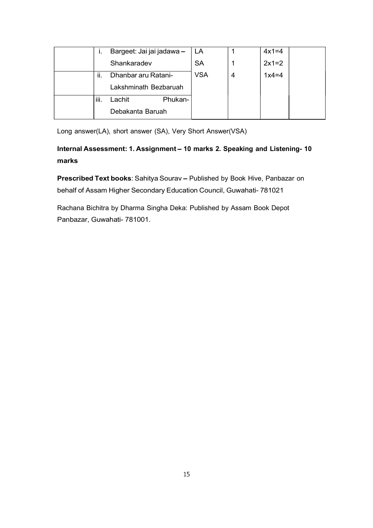| ь.   | Bargeet: Jai jai jadawa - | LA         |   | $4x1=4$ |
|------|---------------------------|------------|---|---------|
|      | Shankaradev               | <b>SA</b>  |   | $2x1=2$ |
| ii.  | Dhanbar aru Ratani-       | <b>VSA</b> | 4 | $1x4=4$ |
|      | Lakshminath Bezbaruah     |            |   |         |
| iii. | Phukan-<br>Lachit         |            |   |         |
|      | Debakanta Baruah          |            |   |         |

Long answer(LA), short answer (SA), Very Short Answer(VSA)

## Internal Assessment: 1. Assignment - 10 marks 2. Speaking and Listening- 10 marks

Prescribed Text books: Sahitya Sourav - Published by Book Hive, Panbazar on behalf of Assam Higher Secondary Education Council, Guwahati- 781021

Rachana Bichitra by Dharma Singha Deka: Published by Assam Book Depot Panbazar, Guwahati- 781001.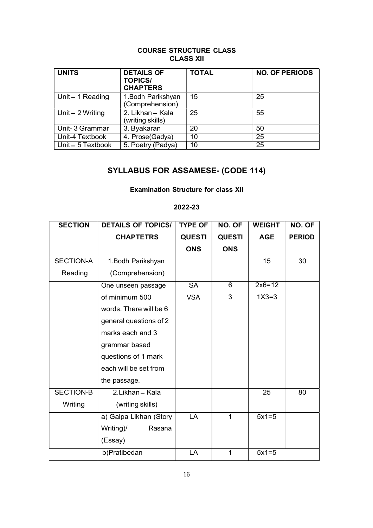### COURSE STRUCTURE CLASS CLASS XII

| <b>UNITS</b>      | <b>DETAILS OF</b><br><b>TOPICS/</b><br><b>CHAPTERS</b> | <b>TOTAL</b> | <b>NO. OF PERIODS</b> |
|-------------------|--------------------------------------------------------|--------------|-----------------------|
| Unit-1 Reading    | 1. Bodh Parikshyan<br>(Comprehension)                  | 15           | 25                    |
| Unit $-2$ Writing | 2. Likhan - Kala<br>(writing skills)                   | 25           | 55                    |
| Unit-3 Grammar    | 3. Byakaran                                            | 20           | 50                    |
| Unit-4 Textbook   | 4. Prose(Gadya)                                        | 10           | 25                    |
| Unit - 5 Textbook | 5. Poetry (Padya)                                      | 10           | 25                    |

## SYLLABUS FOR ASSAMESE- (CODE 114)

### Examination Structure for class XII

### 2022-23

| <b>SECTION</b>   | <b>DETAILS OF TOPICS/</b> | <b>TYPE OF</b> | NO. OF        | <b>WEIGHT</b>   | NO. OF        |
|------------------|---------------------------|----------------|---------------|-----------------|---------------|
|                  | <b>CHAPTETRS</b>          | <b>QUESTI</b>  | <b>QUESTI</b> | <b>AGE</b>      | <b>PERIOD</b> |
|                  |                           | <b>ONS</b>     | <b>ONS</b>    |                 |               |
| SECTION-A        | 1. Bodh Parikshyan        |                |               | 15              | 30            |
| Reading          | (Comprehension)           |                |               |                 |               |
|                  | One unseen passage        | <b>SA</b>      | 6             | $2x6=12$        |               |
|                  | of minimum 500            | <b>VSA</b>     | 3             | $1X3=3$         |               |
|                  | words. There will be 6    |                |               |                 |               |
|                  | general questions of 2    |                |               |                 |               |
|                  | marks each and 3          |                |               |                 |               |
|                  | grammar based             |                |               |                 |               |
|                  | questions of 1 mark       |                |               |                 |               |
|                  | each will be set from     |                |               |                 |               |
|                  | the passage.              |                |               |                 |               |
| <b>SECTION-B</b> | 2.Likhan - Kala           |                |               | $\overline{25}$ | 80            |
| Writing          | (writing skills)          |                |               |                 |               |
|                  | a) Galpa Likhan (Story    | LA             | 1             | $5x1=5$         |               |
|                  | Writing)/<br>Rasana       |                |               |                 |               |
|                  | (Essay)                   |                |               |                 |               |
|                  | b)Pratibedan              | LA             | $\mathbf 1$   | $5x1=5$         |               |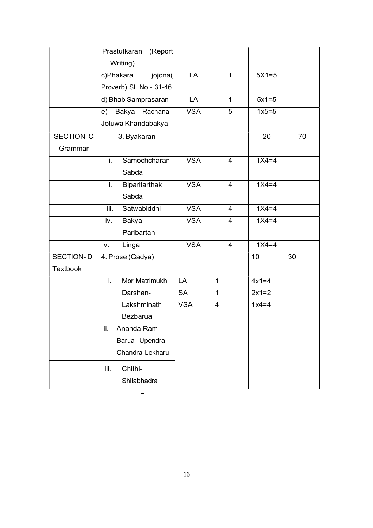|                  | (Report<br>Prastutkaran |            |                |         |    |
|------------------|-------------------------|------------|----------------|---------|----|
|                  | Writing)                |            |                |         |    |
|                  | c)Phakara<br>jojona(    | LA         | $\mathbf{1}$   | $5X1=5$ |    |
|                  | Proverb) SI. No.- 31-46 |            |                |         |    |
|                  | d) Bhab Samprasaran     | LA         | $\mathbf{1}$   | $5x1=5$ |    |
|                  | e) Bakya Rachana-       | <b>VSA</b> | 5              | $1x5=5$ |    |
|                  | Jotuwa Khandabakya      |            |                |         |    |
| SECTION-C        | 3. Byakaran             |            |                | 20      | 70 |
| Grammar          |                         |            |                |         |    |
|                  | Samochcharan<br>i.      | <b>VSA</b> | $\overline{4}$ | $1X4=4$ |    |
|                  | Sabda                   |            |                |         |    |
|                  | ii.<br>Biparitarthak    | <b>VSA</b> | $\overline{4}$ | $1X4=4$ |    |
|                  | Sabda                   |            |                |         |    |
|                  | Satwabiddhi<br>iii.     | <b>VSA</b> | 4              | $1X4=4$ |    |
|                  | Bakya<br>iv.            | <b>VSA</b> | $\overline{4}$ | $1X4=4$ |    |
|                  | Paribartan              |            |                |         |    |
|                  | Linga<br>V.             | <b>VSA</b> | $\overline{4}$ | $1X4=4$ |    |
| <b>SECTION-D</b> | 4. Prose (Gadya)        |            |                | 10      | 30 |
| <b>Textbook</b>  |                         |            |                |         |    |
|                  | Mor Matrimukh<br>i.     | LA         | $\mathbf{1}$   | $4x1=4$ |    |
|                  | Darshan-                | <b>SA</b>  | $\mathbf{1}$   | $2x1=2$ |    |
|                  | Lakshminath             | <b>VSA</b> | $\overline{4}$ | $1x4=4$ |    |
|                  | Bezbarua                |            |                |         |    |
|                  | Ananda Ram<br>н.        |            |                |         |    |
|                  | Barua- Upendra          |            |                |         |    |
|                  | Chandra Lekharu         |            |                |         |    |
|                  | Chithi-<br>iii.         |            |                |         |    |
|                  | Shilabhadra             |            |                |         |    |
|                  |                         |            |                |         |    |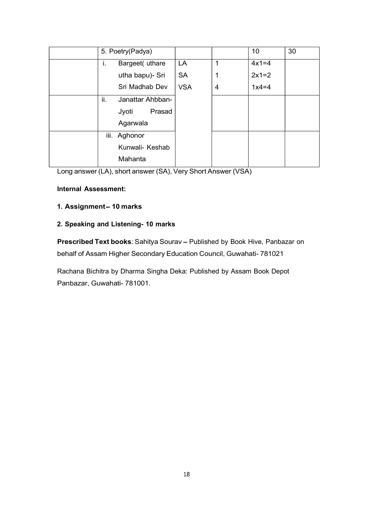|  |     | 5. Poetry(Padya) |            |                | 10 <sup>1</sup> | 30 |  |
|--|-----|------------------|------------|----------------|-----------------|----|--|
|  | Ι.  | Bargeet(uthare   | LA         |                | $4x1=4$         |    |  |
|  |     | utha bapu)- Sri  | <b>SA</b>  |                | $2x1=2$         |    |  |
|  |     | Sri Madhab Dev   | <b>VSA</b> | $\overline{4}$ | $1x4=4$         |    |  |
|  | ii. | Janattar Ahbban- |            |                |                 |    |  |
|  |     | Prasad<br>Jyoti  |            |                |                 |    |  |
|  |     | Agarwala         |            |                |                 |    |  |
|  |     | iii. Aghonor     |            |                |                 |    |  |
|  |     | Kunwali- Keshab  |            |                |                 |    |  |
|  |     | Mahanta          |            |                |                 |    |  |
|  |     |                  |            |                |                 |    |  |

Long answer (LA), short answer (SA), Very Short Answer (VSA)

### Internal Assessment:

### 1. Assignment-10 marks

### 2. Speaking and Listening- 10 marks

Prescribed Text books: Sahitya Sourav - Published by Book Hive, Panbazar on behalf of Assam Higher Secondary Education Council, Guwahati- 781021

Rachana Bichitra by Dharma Singha Deka: Published by Assam Book Depot Panbazar, Guwahati- 781001.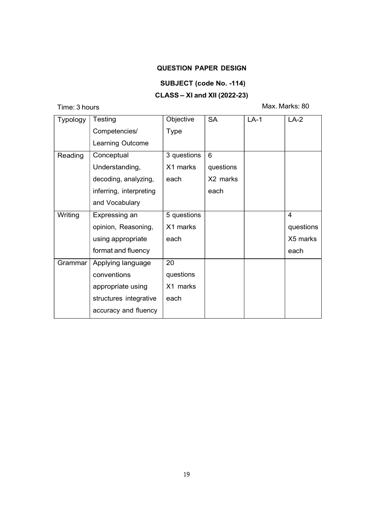### QUESTION PAPER DESIGN

### SUBJECT (code No. -114)

## $CLASS - XI$  and XII (2022-23)

Time: 3 hours

Max. Marks: 80

| <b>Typology</b> | Testing                 | Objective   | <b>SA</b>      | $LA-1$ | $LA-2$         |
|-----------------|-------------------------|-------------|----------------|--------|----------------|
|                 | Competencies/           | Type        |                |        |                |
|                 | Learning Outcome        |             |                |        |                |
| Reading         | Conceptual              | 3 questions | $6\phantom{1}$ |        |                |
|                 | Understanding,          | X1 marks    | questions      |        |                |
|                 | decoding, analyzing,    | each        | X2 marks       |        |                |
|                 | inferring, interpreting |             | each           |        |                |
|                 | and Vocabulary          |             |                |        |                |
| Writing         | Expressing an           | 5 questions |                |        | $\overline{4}$ |
|                 | opinion, Reasoning,     | X1 marks    |                |        | questions      |
|                 | using appropriate       | each        |                |        | X5 marks       |
|                 | format and fluency      |             |                |        | each           |
| Grammar         | Applying language       | 20          |                |        |                |
|                 | conventions             | questions   |                |        |                |
|                 | appropriate using       | X1 marks    |                |        |                |
|                 | structures integrative  | each        |                |        |                |
|                 | accuracy and fluency    |             |                |        |                |